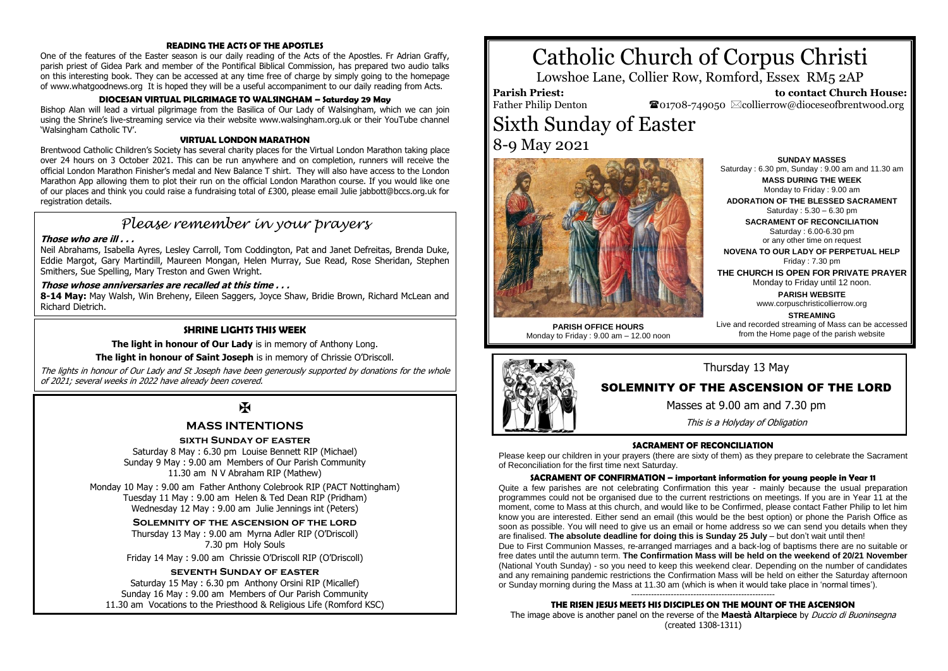## **READING THE ACTS OF THE APOSTLES**

One of the features of the Easter season is our daily reading of the Acts of the Apostles. Fr Adrian Graffy, parish priest of Gidea Park and member of the Pontifical Biblical Commission, has prepared two audio talks on this interesting book. They can be accessed at any time free of charge by simply going to the homepage of www.whatgoodnews.org It is hoped they will be a useful accompaniment to our daily reading from Acts.

# **DIOCESAN VIRTUAL PILGRIMAGE TO WALSINGHAM – Saturday 29 May**

Bishop Alan will lead a virtual pilgrimage from the Basilica of Our Lady of Walsingham, which we can join using the Shrine's live-streaming service via their website www.walsingham.org.uk or their YouTube channel 'Walsingham Catholic TV'.

#### **VIRTUAL LONDON MARATHON**

Brentwood Catholic Children's Society has several charity places for the Virtual London Marathon taking place over 24 hours on 3 October 2021. This can be run anywhere and on completion, runners will receive the official London Marathon Finisher's medal and New Balance T shirt. They will also have access to the London Marathon App allowing them to plot their run on the official London Marathon course. If you would like one of our places and think you could raise a fundraising total of £300, please email Julie jabbott@bccs.org.uk for registration details.

# *Please remember in your prayers*

### **Those who are ill . . .**

Neil Abrahams, Isabella Ayres, Lesley Carroll, Tom Coddington, Pat and Janet Defreitas, Brenda Duke, Eddie Margot, Gary Martindill, Maureen Mongan, Helen Murray, Sue Read, Rose Sheridan, Stephen Smithers, Sue Spelling, Mary Treston and Gwen Wright.

## **Those whose anniversaries are recalled at this time . . .**

**8-14 May:** May Walsh, Win Breheny, Eileen Saggers, Joyce Shaw, Bridie Brown, Richard McLean and Richard Dietrich.

#### **SHRINE LIGHTS THIS WEEK**

**The light in honour of Our Lady** is in memory of Anthony Long.

**The light in honour of Saint Joseph** is in memory of Chrissie O'Driscoll.

The lights in honour of Our Lady and St Joseph have been generously supported by donations for the whole of 2021; several weeks in 2022 have already been covered.

# $\mathbf F$

## **MASS INTENTIONS**

# **sixth Sunday of easter**

Saturday 8 May : 6.30 pm Louise Bennett RIP (Michael) Sunday 9 May : 9.00 am Members of Our Parish Community 11.30 am N V Abraham RIP (Mathew)

Monday 10 May : 9.00 am Father Anthony Colebrook RIP (PACT Nottingham) Tuesday 11 May : 9.00 am Helen & Ted Dean RIP (Pridham) Wednesday 12 May : 9.00 am Julie Jennings int (Peters)

**Solemnity of the ascension of the lord**

Thursday 13 May : 9.00 am Myrna Adler RIP (O'Driscoll) 7.30 pm Holy Souls

Friday 14 May : 9.00 am Chrissie O'Driscoll RIP (O'Driscoll)

# **seventh Sunday of easter**

Saturday 15 May : 6.30 pm Anthony Orsini RIP (Micallef) Sunday 16 May : 9.00 am Members of Our Parish Community 11.30 am Vocations to the Priesthood & Religious Life (Romford KSC)

# Catholic Church of Corpus Christi

Lowshoe Lane, Collier Row, Romford, Essex RM5 2AP

**Parish Priest:** Father Philip Denton

 **to contact Church House:**  $\bullet$ 01708-749050  $\boxtimes$ collierrow@dioceseofbrentwood.org

# Sixth Sunday of Easter 8-9 May 2021



**PARISH OFFICE HOURS** Monday to Friday : 9.00 am – 12.00 noon

**SUNDAY MASSES** Saturday : 6.30 pm, Sunday : 9.00 am and 11.30 am **MASS DURING THE WEEK**

Monday to Friday : 9.00 am

**ADORATION OF THE BLESSED SACRAMENT** Saturday : 5.30 – 6.30 pm

**SACRAMENT OF RECONCILIATION** Saturday : 6.00-6.30 pm or any other time on request

**NOVENA TO OUR LADY OF PERPETUAL HELP** Friday  $\cdot$  7.30 pm

**THE CHURCH IS OPEN FOR PRIVATE PRAYER** Monday to Friday until 12 noon.

> **PARISH WEBSITE** www.corpuschristicollierrow.org

**STREAMING** Live and recorded streaming of Mass can be accessed from the Home page of the parish website



# Thursday 13 May

# SOLEMNITY OF THE ASCENSION OF THE LORD

Masses at 9.00 am and 7.30 pm

This is a Holyday of Obligation

#### **SACRAMENT OF RECONCILIATION**

Please keep our children in your prayers (there are sixty of them) as they prepare to celebrate the Sacrament of Reconciliation for the first time next Saturday.

#### **SACRAMENT OF CONFIRMATION – important information for young people in Year 11**

Quite a few parishes are not celebrating Confirmation this year - mainly because the usual preparation programmes could not be organised due to the current restrictions on meetings. If you are in Year 11 at the moment, come to Mass at this church, and would like to be Confirmed, please contact Father Philip to let him know you are interested. Either send an email (this would be the best option) or phone the Parish Office as soon as possible. You will need to give us an email or home address so we can send you details when they are finalised. **The absolute deadline for doing this is Sunday 25 July** – but don't wait until then!

Due to First Communion Masses, re-arranged marriages and a back-log of baptisms there are no suitable or free dates until the autumn term. **The Confirmation Mass will be held on the weekend of 20/21 November** (National Youth Sunday) - so you need to keep this weekend clear. Depending on the number of candidates and any remaining pandemic restrictions the Confirmation Mass will be held on either the Saturday afternoon or Sunday morning during the Mass at 11.30 am (which is when it would take place in 'normal times').

#### --------------------------------------------------- **THE RISEN JESUS MEETS HIS DISCIPLES ON THE MOUNT OF THE ASCENSION**

The image above is another panel on the reverse of the **Maestà Altarpiece** by Duccio di Buoninsegna (created 1308-1311)